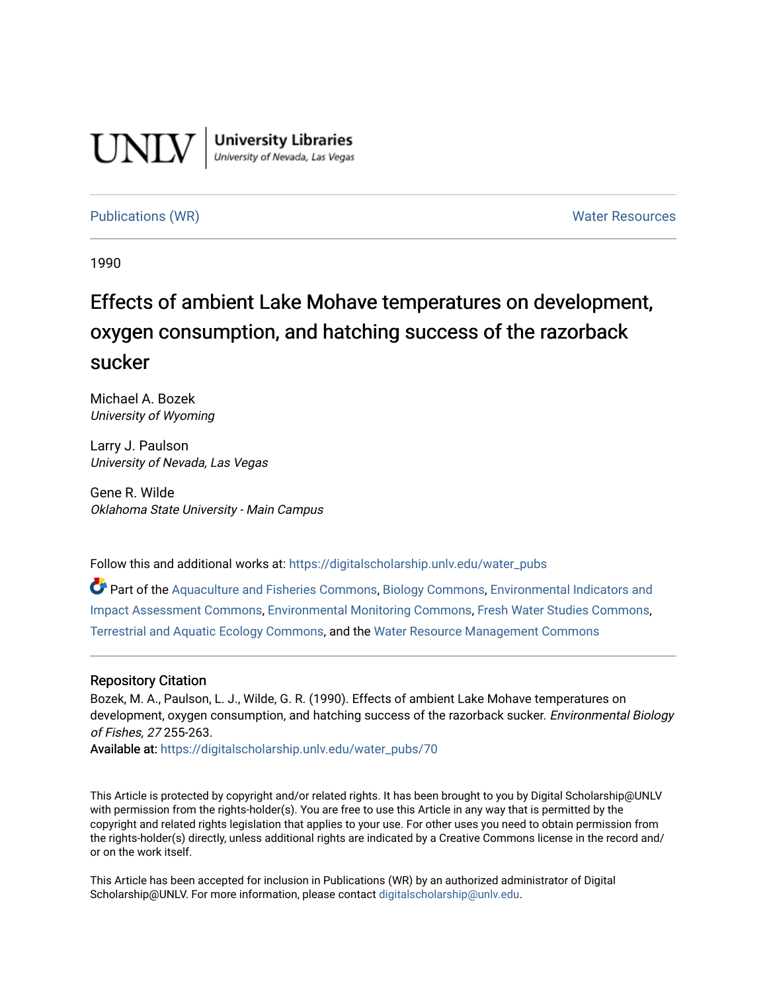

**University Libraries**<br>University of Nevada, Las Vegas

# [Publications \(WR\)](https://digitalscholarship.unlv.edu/water_pubs) Noter Resources

1990

# Effects of ambient Lake Mohave temperatures on development, oxygen consumption, and hatching success of the razorback sucker

Michael A. Bozek University of Wyoming

Larry J. Paulson University of Nevada, Las Vegas

Gene R. Wilde Oklahoma State University - Main Campus

Follow this and additional works at: [https://digitalscholarship.unlv.edu/water\\_pubs](https://digitalscholarship.unlv.edu/water_pubs?utm_source=digitalscholarship.unlv.edu%2Fwater_pubs%2F70&utm_medium=PDF&utm_campaign=PDFCoverPages) 

Part of the [Aquaculture and Fisheries Commons](http://network.bepress.com/hgg/discipline/78?utm_source=digitalscholarship.unlv.edu%2Fwater_pubs%2F70&utm_medium=PDF&utm_campaign=PDFCoverPages), [Biology Commons](http://network.bepress.com/hgg/discipline/41?utm_source=digitalscholarship.unlv.edu%2Fwater_pubs%2F70&utm_medium=PDF&utm_campaign=PDFCoverPages), [Environmental Indicators and](http://network.bepress.com/hgg/discipline/1015?utm_source=digitalscholarship.unlv.edu%2Fwater_pubs%2F70&utm_medium=PDF&utm_campaign=PDFCoverPages) [Impact Assessment Commons](http://network.bepress.com/hgg/discipline/1015?utm_source=digitalscholarship.unlv.edu%2Fwater_pubs%2F70&utm_medium=PDF&utm_campaign=PDFCoverPages), [Environmental Monitoring Commons,](http://network.bepress.com/hgg/discipline/931?utm_source=digitalscholarship.unlv.edu%2Fwater_pubs%2F70&utm_medium=PDF&utm_campaign=PDFCoverPages) [Fresh Water Studies Commons,](http://network.bepress.com/hgg/discipline/189?utm_source=digitalscholarship.unlv.edu%2Fwater_pubs%2F70&utm_medium=PDF&utm_campaign=PDFCoverPages) [Terrestrial and Aquatic Ecology Commons,](http://network.bepress.com/hgg/discipline/20?utm_source=digitalscholarship.unlv.edu%2Fwater_pubs%2F70&utm_medium=PDF&utm_campaign=PDFCoverPages) and the [Water Resource Management Commons](http://network.bepress.com/hgg/discipline/1057?utm_source=digitalscholarship.unlv.edu%2Fwater_pubs%2F70&utm_medium=PDF&utm_campaign=PDFCoverPages) 

## Repository Citation

Bozek, M. A., Paulson, L. J., Wilde, G. R. (1990). Effects of ambient Lake Mohave temperatures on development, oxygen consumption, and hatching success of the razorback sucker. Environmental Biology of Fishes, 27 255-263.

Available at: [https://digitalscholarship.unlv.edu/water\\_pubs/70](https://digitalscholarship.unlv.edu/water_pubs/70) 

This Article is protected by copyright and/or related rights. It has been brought to you by Digital Scholarship@UNLV with permission from the rights-holder(s). You are free to use this Article in any way that is permitted by the copyright and related rights legislation that applies to your use. For other uses you need to obtain permission from the rights-holder(s) directly, unless additional rights are indicated by a Creative Commons license in the record and/ or on the work itself.

This Article has been accepted for inclusion in Publications (WR) by an authorized administrator of Digital Scholarship@UNLV. For more information, please contact [digitalscholarship@unlv.edu.](mailto:digitalscholarship@unlv.edu)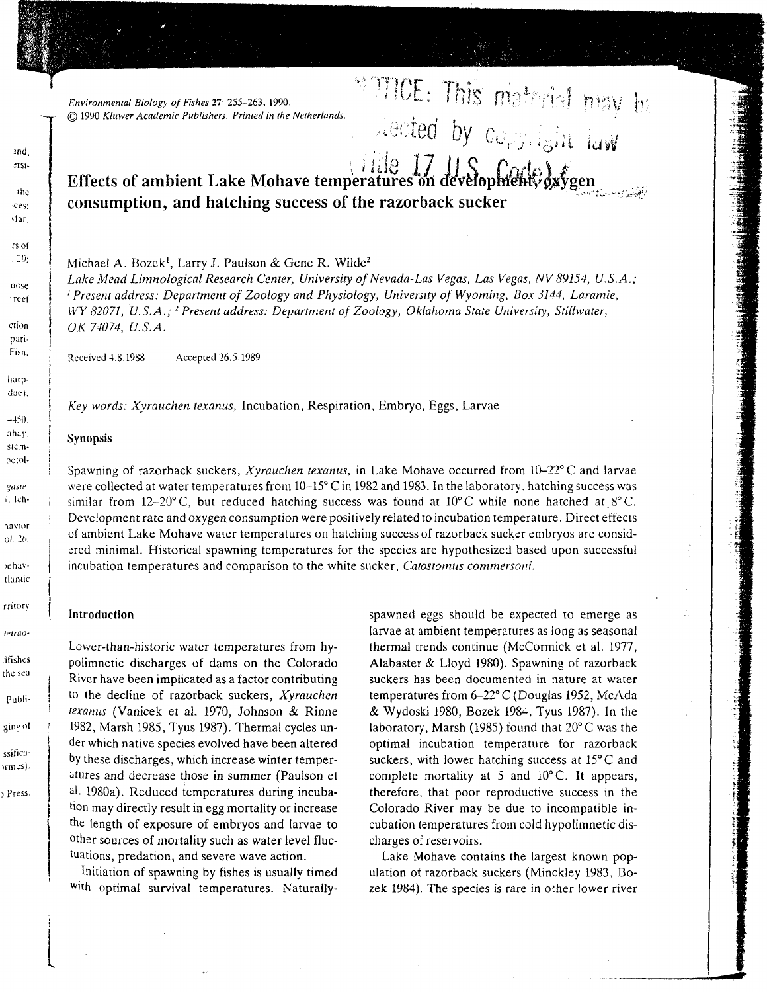*Environmental Biology of Fishes* 27: 255-263, 1990. (Q 1990 *Kluwer Academic Publishers. Printed in the Netherlands.*

# **Effects of ambient Lake Mohave temperatures on developmenty dxygen consumption, and hatching success of the razorback sucker**

Michael A. Bozek<sup>1</sup>, Larry J. Paulson & Gene R. Wilde<sup>2</sup>

*Lake Mead Limnological Research Center, University of Nevada-Las Vegas, Las Vegas, NV 89154, U.S.A. <sup>1</sup> Present address: Department of Zoology and Physiology, University of Wyoming, Box 3144, Laramie, WY 82071, U.S.A.;2 Present address: Department of Zoology, Oklahoma State University, Stillwater, OK 74074, U.S.A.*

Received 4.8.1988 Accepted 26.5.1989

*Key words: Xyrauchen texanus,* Incubation, Respiration, Embryo, Eggs, Larvae

#### | Synopsis

Spawning of razorback suckers, *Xyrauchen texanus,* in Lake Mohave occurred from 10-22° C and larvae were collected at water temperatures from  $10-15^{\circ}$  C in 1982 and 1983. In the laboratory, hatching success was similar from  $12-20^{\circ}$ C, but reduced hatching success was found at  $10^{\circ}$ C while none hatched at  $8^{\circ}$ C. Development rate and oxygen consumption were positively related to incubation temperature. Direct effects of ambient Lake Mohave water temperatures on hatching success of razorback sucker embryos are consid ered minimal. Historical spawning temperatures for the species are hypothesized based upon successful incubation temperatures and comparison to the white sucker, *Catostomus commersoni.*

#### **Introduction**

Lower-than-historic water temperatures from hy polimnetic discharges of dams on the Colorado River have been implicated as a factor contributing to the decline of razorback suckers, *Xyrauchen texanus* (Vanicek et al. 1970, Johnson & Rinne 1982, Marsh 1985, Tyus 1987). Thermal cycles un der which native species evolved have been altered by these discharges, which increase winter temper atures and decrease those in summer (Paulson et al. 1980a). Reduced temperatures during incuba tion may directly result in egg mortality or increase the length of exposure of embryos and larvae to other sources of mortality such as water level fluc tuations, predation, and severe wave action.

Initiation of spawning by fishes is usually timed

Introduction<br>
Lower-than-historic water temperatures from hy<br>
larmal trends continue (McCormick et al. 1977)<br>
polimetic discharges of dams on the Colorado<br>
Alabaster & Lloyd 1980). Spawning of razorback<br>
River have been im

 $\Xi\colon$  This matorial reav  $\mathfrak h$ 

ted by  $c_{\mathcal{O},i}$ 

ind,  $zrsi$ the >ces: vfar. rs of  $-20$ nose reef ction pari-Fish. harpdae).  $-450$ ahay. stempetolgaste i. Ich**navior**  $ol. 2b$ rehavtlantic rritory tetraodfishes the sea Publiging of ssificaormes). Press.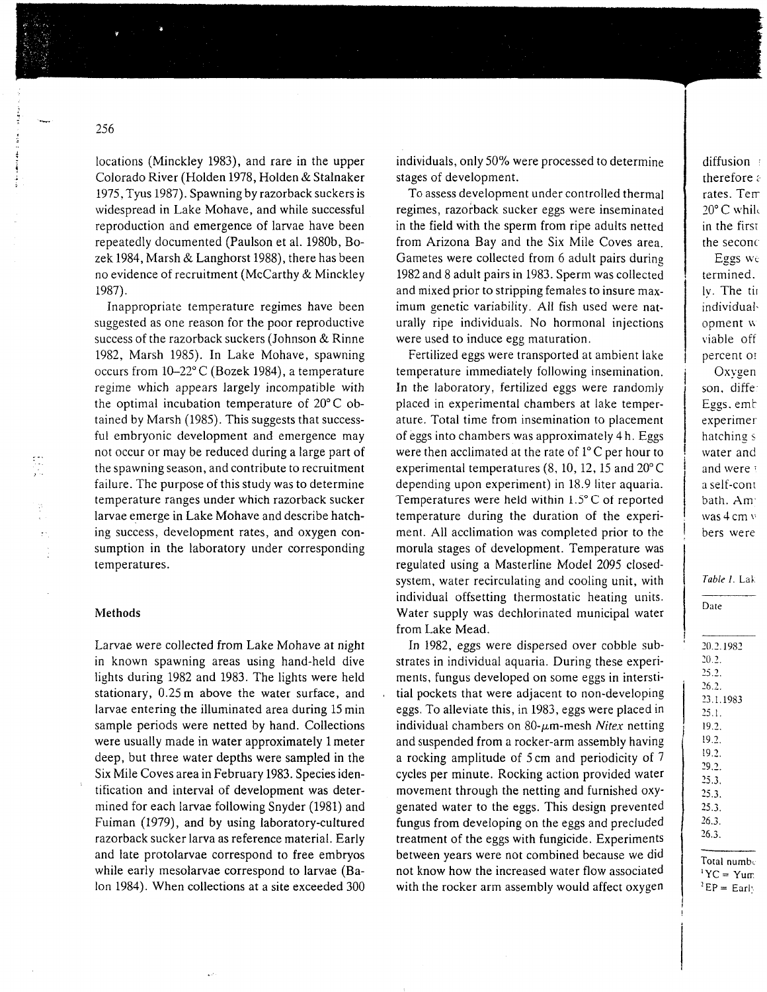locations (Minckle y 1983), an d rare i n the upper Colorado River (Holde n 1978, Holde n & Stalnaker 1975, Tyus 1987). Spawning b y razorbac k suckers is widesprea d i n Lake Mohave, an d while successful reproductio n an d emergence of larvae have bee n repeatedl y documente d (Paulso n et al. 1980b, Bo ze k 1984, Mars h & Langhorst 1988), there has bee n no evidence of recruitment (McCarth y & Minckle y 1987).

Inappropriate temperature regimes have bee n suggeste d as one reaso n for the poor reproductive success of the razorbac k suckers (Johnso n & Rinne 1982, Mars h 1985). I n Lake Mohave, spawning occurs fro m 10-22° C (Boze k 1984), a temperature regime whic h appears largely incompatible with the optimal incubatio n temperature of 20° C ob tained b y Mars h (1985). This suggests that success ful embryonic development and emergence may not occur or ma y be reduce d during a large part of the spawning season, an d contribute to recruitment failure. The purpose of this stud y was to determine temperature ranges under whic h razorbac k sucker larvae emerge i n Lake Mohave an d describe hatch ing success, development rates, an d oxyge n con sumptio n i n the laborator y under corresponding temperatures.

## Methods

Larvae were collecte d fro m Lake Mohave at night in know n spawning areas using hand-hel d dive lights during 1982 an d 1983. The lights were hel d stationary, 0.25 m above the water surface, an d larvae entering the illuminate d area during 15 mi n sample periods were nette d b y hand. Collections were usuall y made i n water approximatel y 1 meter deep, but three water depths were sample d i n the Six Mile Coves area i n Februar y 1983. Species iden tification an d interval of development was deter mine d for eac h larvae following Snyder (1981) an d Fuima n (1979), an d b y using laboratory-culture d razorbac k sucker larva as reference material. Earl y an d late protolarvae correspon d to free embryos while earl y mesolarvae correspon d to larvae (Ba lon 1984). Whe n collections at a site exceede d 30 0

individuals, onl y 50 % were processe d to determine stages of development.

To assess development under controlle d thermal regimes, razorbac k sucker eggs were inseminate d in the field wit h the sper m fro m ripe adults nette d fro m Arizona Bay and the Six Mile Coves area. Gametes were collecte d fro m 6 adult pairs during 1982 an d 8 adult pairs i n 1983. Sper m was collecte d an d mixe d prior to stripping females to insure max imu m genetic variability. All fish use d were nat urally ripe individuals. No hormonal injections were use d to induce egg maturation.

Fertilized eggs were transporte d at ambient lake temperature immediatel y following insemination. In the laboratory, fertilized eggs were randoml y place d in experimental chambers at lake temper ature. Total time fro m inseminatio n to placement of eggs into chambers was approximatel y 4 h. Eggs were the n acclimate d at the rate of 1° C per hour to experimental temperatures (8, 10, 12, 15 an d 20° C depending upo n experiment) in 18.9 liter aquaria. Temperatures were hel d within 1.5° C of reporte d temperature during the duratio n of the experi ment. All acclimatio n was complete d prior to the morula stages of development. Temperature was regulated using a Masterline Model 2095 closed system, water recirculating and cooling unit, with individual offsetting thermostatic heating units. Water suppl y was dechlorinate d municipal water fro m Lake Mead.

In 1982, eggs were disperse d over cobble sub strates in individual aquaria. During these experi ments, fungus develope d o n some eggs i n intersti tial pockets that were adjacent to non-developing eggs. To alleviate this, i n 1983, eggs were place d i n individual chambers on 80-μm-mesh *Nitex* netting an d suspende d fro m a rocker-ar m assembl y having a rocking amplitude of 5 c m an d periodicit y of 7 cycles per minute. Rocking actio n provide d water movement throug h the netting and furnished oxy genate d water to the eggs. This desig n prevente d fungus fro m developing o n the eggs and preclude d treatment of the eggs with fungicide. Experiments betwee n years were not combine d because we di d not kno w ho w the increase d water flo w associate d with the rocker ar m assembl y woul d affect oxyge n

| Date      |  |  |  |  |  |  |
|-----------|--|--|--|--|--|--|
|           |  |  |  |  |  |  |
| 20.2.1982 |  |  |  |  |  |  |
| 20.2.     |  |  |  |  |  |  |
| 25.2.     |  |  |  |  |  |  |
| 26.2.     |  |  |  |  |  |  |
| 23.1.1983 |  |  |  |  |  |  |
| 25.1.     |  |  |  |  |  |  |
| 19.2.     |  |  |  |  |  |  |
| 19.2.     |  |  |  |  |  |  |
| 19.2.     |  |  |  |  |  |  |

*Table 1.*

Total numbe

29.2. 25.3. 25.3. 25.3. 26.3. 26.3.

 $YC = Y$ um *•EP=* Earl'.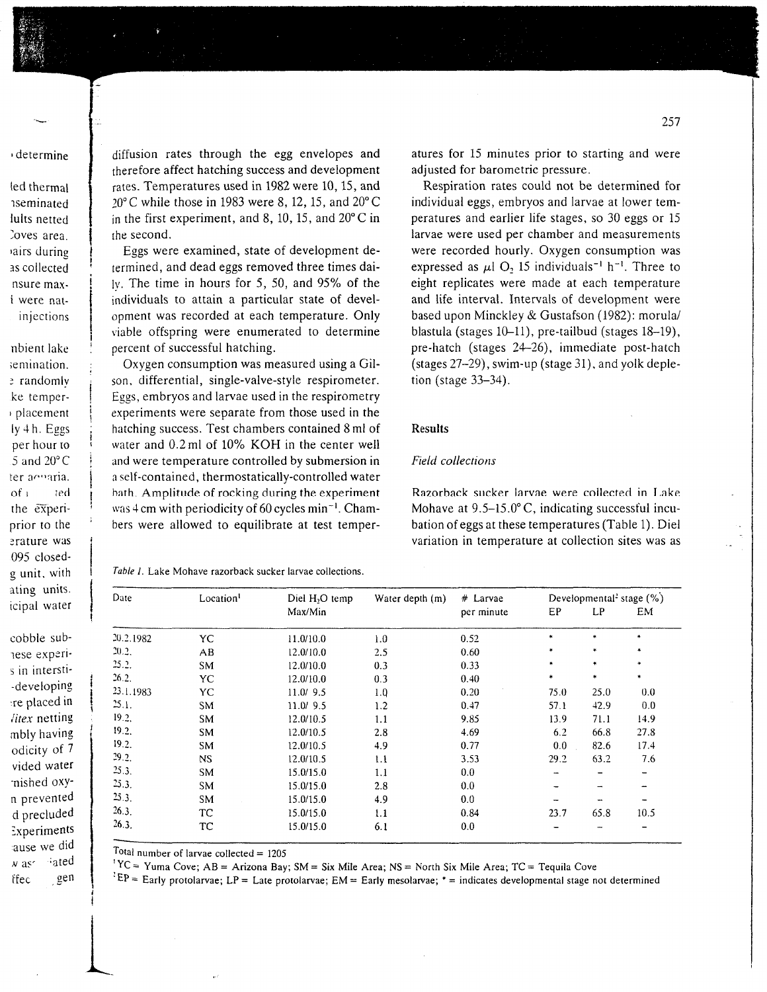determine

led thermal *nseminated* lults netted Coves area. airs during as collected nsure max*i* were natinjections

nbient lake semination. e randomlv ke temperplacement ly 4 h. Eggs per hour to  $5$  and  $20^{\circ}$  C ter acoaria.  $of<sub>1</sub>$ ted the experiprior to the erature was 095 closedg unit, with ating units. icipal water

cobble sublese experis in intersti--developing re placed in litex netting mbly having odicity of 7 vided water nished oxyn prevented d precluded Experiments ause we did  $x$  as  $\cdot$ <sub>ated</sub> gen ffec

diffusion rates through the egg envelopes and therefore affect hatching success and development rates. Temperatures used in 1982 were 10, 15, and  $20^{\circ}$ C while those in 1983 were 8, 12, 15, and  $20^{\circ}$ C in the first experiment, and 8, 10, 15, and  $20^{\circ}$ C in the second.

Eggs were examined, state of development determined, and dead eggs removed three times dai- $\mu$ . The time in hours for 5, 50, and 95% of the individuals to attain a particular state of development was recorded at each temperature. Only viable offspring were enumerated to determine percent of successful hatching.

Oxygen consumption was measured using a Gilson, differential, single-valve-style respirometer. Eggs, embryos and larvae used in the respirometry experiments were separate from those used in the hatching success. Test chambers contained 8 ml of water and 0.2 ml of 10% KOH in the center well and were temperature controlled by submersion in a self-contained, thermostatically-controlled water bath. Amplitude of rocking during the experiment was 4 cm with periodicity of 60 cycles min<sup>-1</sup>. Chambers were allowed to equilibrate at test temperatures for 15 minutes prior to starting and were adjusted for barometric pressure.

Respiration rates could not be determined for individual eggs, embryos and larvae at lower temperatures and earlier life stages, so 30 eggs or 15 larvae were used per chamber and measurements were recorded hourly. Oxygen consumption was expressed as  $\mu$ l O<sub>2</sub> 15 individuals<sup>-1</sup> h<sup>-1</sup>. Three to eight replicates were made at each temperature and life interval. Intervals of development were based upon Minckley & Gustafson (1982): morula/ blastula (stages 10-11), pre-tailbud (stages 18-19), pre-hatch (stages 24-26), immediate post-hatch (stages 27-29), swim-up (stage 31), and yolk depletion (stage  $33-34$ ).

## **Results**

#### Field collections

Razorback sucker larvae were collected in Lake Mohave at 9.5-15.0°C, indicating successful incubation of eggs at these temperatures (Table 1). Diel variation in temperature at collection sites was as

Table 1. Lake Mohave razorback sucker larvae collections.

| Date      | Location <sup>1</sup> | Diel H <sub>2</sub> O temp | Water depth (m) | $#$ Larvae<br>per minute | Developmental <sup>2</sup> stage $(\%)$ |                 |           |
|-----------|-----------------------|----------------------------|-----------------|--------------------------|-----------------------------------------|-----------------|-----------|
|           |                       | Max/Min                    |                 |                          | EP                                      | LP              | EM.       |
| 20.2.1982 | YC                    | 11.0/10.0                  | 1.0             | 0.52                     | *                                       | $\ast$          | $\ast$    |
| 20.2.     | AB                    | 12.0/10.0                  | 2.5             | 0.60                     | $\ast$                                  | $\ast$          | ۰         |
| 25.2.     | SM                    | 12.0/10.0                  | 0.3             | 0.33                     | $\ast$                                  | $\ast$          | $\bullet$ |
| 26.2.     | YC                    | 12.0/10.0                  | 0.3             | 0.40                     | *                                       | $*$             | $\ast$    |
| 23.1.1983 | YC.                   | 11.0/9.5                   | 1.0             | 0.20                     | 75.0                                    | 25.0            | 0.0       |
| 25.1.     | SM                    | 11.0/9.5                   | 1.2             | 0.47                     | 57.1                                    | 42.9            | 0.0       |
| 19.2.     | SM                    | 12.0/10.5                  | 1.1             | 9.85                     | 13.9                                    | 71.1            | 14.9      |
| 19.2.     | <b>SM</b>             | 12.0/10.5                  | 2.8             | 4.69                     | 6.2                                     | 66.8            | 27.8      |
| 19.2      | SM                    | 12.0/10.5                  | 4.9             | 0.77                     | 0.0                                     | 82.6            | 17.4      |
| 29.2.     | <b>NS</b>             | 12.0/10.5                  | 1.1             | 3.53                     | 29.2                                    | 63.2            | 7.6       |
| 25.3.     | SM                    | 15.0/15.0                  | 1.1             | 0.0                      |                                         | $\qquad \qquad$ |           |
| 25.3.     | SM                    | 15.0/15.0                  | 2.8             | 0.0                      |                                         |                 |           |
| 25.3      | <b>SM</b>             | 15.0/15.0                  | 4.9             | 0.0                      |                                         |                 |           |
| 26.3.     | TC.                   | 15.0/15.0                  | 1.1             | 0.84                     | 23.7                                    | 65.8            | 10.5      |
| 26.3.     | ТC                    | 15.0/15.0                  | 6.1             | 0.0                      |                                         |                 |           |
|           |                       |                            |                 |                          |                                         |                 |           |

Total number of larvae collected =  $1205$ 

 ${}^{1}YC = Y$ uma Cove; AB = Arizona Bay; SM = Six Mile Area; NS = North Six Mile Area; TC = Tequila Cove

 $E^E =$  Early protolarvae; LP = Late protolarvae; EM = Early mesolarvae; \* = indicates developmental stage not determined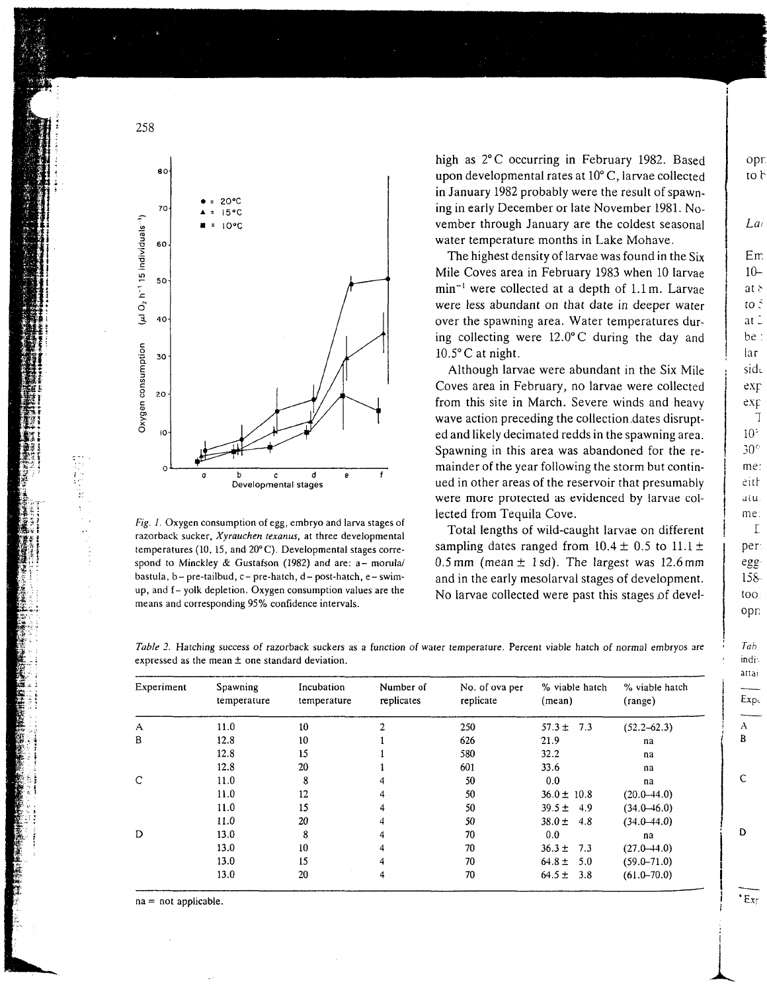

*Fig. 1.* Oxygen consumption of egg, embryo and larva stages of razorback sucker, *Xyrauchen texanus,* at three developmental temperatures (10, 15, and 20° C). Developmental stages corre spond to Minckley & Gustafson (1982) and are: a- morula/ bastula, b-pre-tailbud, c- pre-hatch, d- post-hatch, e-swim up, and f- yolk depletion. Oxygen consumption values are the means and corresponding 95% confidence intervals.

high as 2°C occurring in February 1982. Based upon developmental rates at 10° C, larvae collected in January 1982 probably were the result of spawn ing in early December or late November 1981. No vember through January are the coldest seasonal water temperature months in Lake Mohave.

The highest density of larvae was found in the Six Mile Coves area in February 1983 when 10 larvae min~' were collected at a depth of l.lm. Larvae were less abundant on that date in deeper water over the spawning area. Water temperatures dur ing collecting were 12.0°C during the day and  $10.5^{\circ}$ C at night.

Although larvae were abundant in the Six Mile Coves area in February, no larvae were collected from this site in March. Severe winds and heavy wave action preceding the collection.dates disrupt ed and likely decimated redds in the spawning area. Spawning in this area was abandoned for the re mainder of the year following the storm but contin ued in other areas of the reservoir that presumably were more protected as evidenced by larvae col lected from Tequila Cove.

Total lengths of wild-caught larvae on different sampling dates ranged from  $10.4 \pm 0.5$  to  $11.1 \pm$ 0.5 mm (mean  $\pm$  1 sd). The largest was 12.6 mm and in the early mesolarval stages of development. No larvae collected were past this stages of devel-

per egg  $158$ too opn

Expc

Tab. indi: attai

opr.

to b

 $Lai$ 

Em  $10$  $at \delta$ to  $\bar{z}$ at 2 be :

lar

side  $ex<sub>F</sub>$ 

exp -7

 $10<sup>5</sup>$  $30^\circ$ me:

eith atu me:  $\Gamma$ 

 $E_{x}$ 

i

*Table 2.* Hatching success of razorback suckers as a function of water temperature. Percent viable hatch of normal embryos are expressed as the mean ± one standard deviation.

| Experiment   | Spawning<br>temperature | Incubation<br>temperature | Number of<br>replicates | No. of ova per<br>replicate | % viable hatch<br>(mean) | % viable hatch<br>(range) |
|--------------|-------------------------|---------------------------|-------------------------|-----------------------------|--------------------------|---------------------------|
| $\mathsf{A}$ | 11.0                    | 10                        |                         | 250                         | $57.3 \pm 7.3$           | $(52.2 - 62.3)$           |
| B            | 12.8                    | 10                        |                         | 626                         | 21.9                     | na                        |
|              | 12.8                    | 15                        |                         | 580                         | 32.2                     | na                        |
|              | 12.8                    | 20                        |                         | 601                         | 33.6                     | na                        |
| $\mathsf{C}$ | 11.0                    | 8                         |                         | 50                          | 0.0                      | na                        |
|              | 11.0                    | 12                        |                         | 50                          | $36.0 \pm 10.8$          | $(20.0 - 44.0)$           |
|              | 11.0                    | 15                        |                         | 50                          | $39.5 \pm 4.9$           | $(34.0 - 46.0)$           |
|              | 11.0                    | 20                        |                         | 50                          | $38.0 \pm 4.8$           | $(34.0 - 44.0)$           |
| D            | 13.0                    | 8                         | 4                       | 70                          | 0.0                      | na                        |
|              | 13.0                    | 10                        |                         | 70                          | $36.3 \pm 7.3$           | $(27.0 - 44.0)$           |
|              | 13.0                    | 15                        |                         | 70                          | $64.8 \pm 5.0$           | $(59.0 - 71.0)$           |
|              | 13.0                    | 20                        | 4                       | 70                          | $64.5 \pm 3.8$           | $(61.0 - 70.0)$           |

na = not applicable.

258

Hi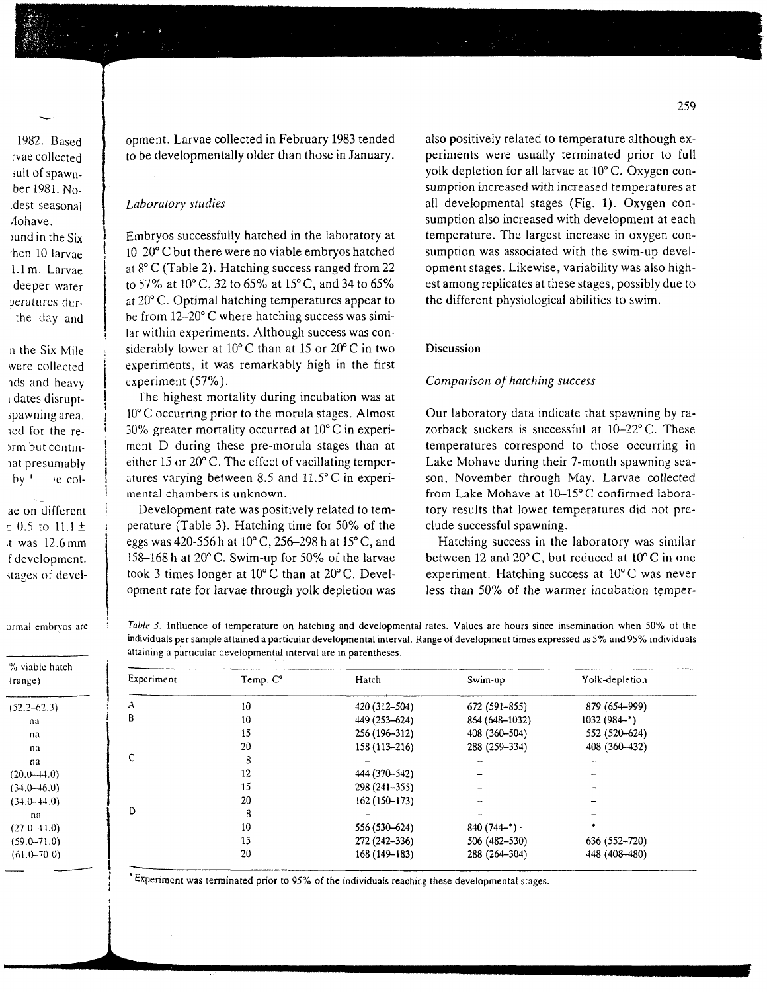1982. Based rvae collected sult of spawnber!981.No- .dest seasonal /lohave. ound in the Six 'hen 10 larvae l.lm. Larvae deeper water Deratures dur the day and

n the Six Mile were collected nds and heavy i dates disrupt spawning area, led for the re- )rm but contin lat presumably  $by'$  ie col-

ae on different  $= 0.5$  to  $11.1 \pm$ ;t was 12.6mm f development, stages of development. Larvae collected in February 1983 tended to be developmentally older than those in January.

#### *Laboratory studies*

Embryos successfully hatched in the laboratory at 10-20° C but there were no viable embryos hatched at 8° C (Table 2). Hatching success ranged from 22 to 57% at 10° C, 32 to 65% at 15° C, and 34 to 65% at 20° C. Optimal hatching temperatures appear to be from 12-20° C where hatching success was simi lar within experiments. Although success was con siderably lower at 10° C than at 15 or 20° C in two experiments, it was remarkably high in the first experiment (57%).

The highest mortality during incubation was at 10° C occurring prior to the morula stages. Almost 30% greater mortality occurred at 10° C in experi ment *D* during these pre-morula stages than at either 15 or 20° C. The effect of vacillating temper atures varying between 8.5 and 11.5°C in experi mental chambers is unknown.

Development rate was positively related to tem perature (Table 3). Hatching time for 50% of the eggs was 420-556 h at 10° C, 256-298 h at 15° C, and 158-168 h at 20° C. Swim-up for 50% of the larvae took 3 times longer at 10° C than at 20° C. Devel opment rate for larvae through yolk depletion was also positively related to temperature although ex periments were usually terminated prior to full yolk depletion for all larvae at 10° C. Oxygen con sumption increased with increased temperatures at all developmental stages (Fig. 1). Oxygen con sumption also increased with development at each temperature. The largest increase in oxygen con sumption was associated with the swim-up devel opment stages. Likewise, variability was also high est among replicates at these stages, possibly due to the different physiological abilities to swim.

### **Discussion**

### *Comparison of hatching success*

Our laboratory data indicate that spawning by ra zorback suckers is successful at 10-22° C. These temperatures correspond to those occurring in Lake Mohave during their 7-month spawning sea son, November through May. Larvae collected from Lake Mohave at 10-15° C confirmed labora tory results that lower temperatures did not pre clude successful spawning.

Hatching success in the laboratory was similar between 12 and 20° C, but reduced at 10° C in one experiment. Hatching success at 10° C was never less than 50% of the warmer incubation temper-

ormal embryos are

% viable hatch (range)  $(52.2 - 62.3)$ na na na  $(20.0 - 44.0)$  $(34.0 - 46.0)$ (34.0-44.0) na  $(27.0 - 44.0)$ (59.0-71.0)  $(61.0 - 70.0)$ 

*Table 3.* Influence of temperature on hatching and developmental rates. Values are hours since insemination when 50% of the individuals per sample attained a particular developmental interval. Range of development times expressed as 5% and 95% individuals attaining a particular developmental interval are in parentheses.

| ibie hatch-<br>e) |            |          |                |                |                |  |  |  |  |
|-------------------|------------|----------|----------------|----------------|----------------|--|--|--|--|
|                   | Experiment | Temp. C° | Hatch          | Swim-up        | Yolk-depletion |  |  |  |  |
| $-62.3$           | A          | 10       | 420 (312-504)  | 672 (591-855)  | 879 (654-999)  |  |  |  |  |
| na                | B          | 10       | 449 (253–624)  | 864 (648-1032) | $1032(984-*)$  |  |  |  |  |
| na                |            | 15       | 256 (196-312)  | 408 (360-504)  | 552 (520-624)  |  |  |  |  |
| na                | C          | 20       | 158 (113-216)  | 288 (259-334)  | 408 (360-432)  |  |  |  |  |
| na                |            | 8        |                |                |                |  |  |  |  |
| $(-44.0)$         |            | 12       | 444 (370-542)  |                |                |  |  |  |  |
| $(-46.0)$         |            | 15       | $298(241-355)$ |                |                |  |  |  |  |
| $(-44.0)$         | D          | 20       | $162(150-173)$ |                |                |  |  |  |  |
| na                |            | 8        |                |                |                |  |  |  |  |
| $+4.0$            |            | 10       | 556 (530-624)  | $840(744-*)$   |                |  |  |  |  |
| $-71.0$           |            | 15       | 272 (242-336)  | 506 (482-530)  | 636 (552-720)  |  |  |  |  |
| $-70.0$           |            | 20       | 168 (149-183)  | 288 (264-304)  | 448 (408-480)  |  |  |  |  |
|                   |            |          |                |                |                |  |  |  |  |

Experiment was terminated prior to 95% of the individuals reaching these developmental stages.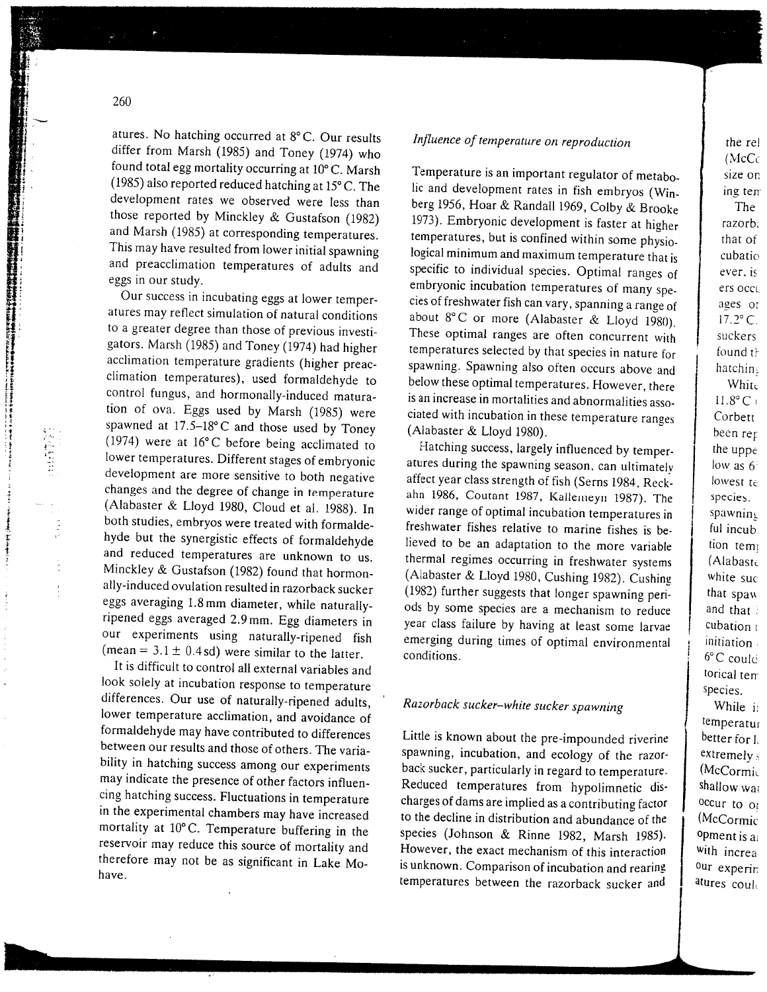atures. No hatching occurred at  $8^\circ$ C. Our result differ from Marsh  $(1985)$  and Toney  $(1974)$  w found total egg mortality occurring at  $10^{\circ}C_{\rm Mag}$  $(1985)$  also reported reduced hatching at 15° C. The development rates we observed were less the those reported by Minckley & Gustafson (198 and Marsh (1985) at corresponding temperatures This may have resulted from lower initial spawni and preacclimation temperatures of adults and eggs in our stud

Our success in incubating eggs at lower temperatures may reflect simulation of natural conditions to a greater degree than those of previous invest gators. Marsh (1985) and Toney  $(1974)$  had high acclimation temperature gradients (higher prea $climation$  temperatures), used formaldehyde control fungus, and hormonally-induced matur tion of ova. Eggs used by Marsh  $(1985)$  we spawned at  $17.5-18$ °C and those used by Tone  $(1974)$  were at 16 $^{\circ}$ C before being acclimated lower temperatures. Different stages of embryonic development are more sensitive to both negative changes and the degree of change in temperature  $(A$ labaster & Lloyd 1980. Cloud et al. 1988). both studies, embryos were treated with formalde hyde but the synergistic effects of formaldehyde and reduced temperatures are unknown to us Minckley & Gustafson (1982) found that hormon ally-induced ovulation resulted in razorback sucke eggs averaging 1.8m m diameter, while naturally ripened eggs averaged 2.9mm. Fog diameters in our experiments using naturally-ripened fis  $(mean = 3.1 + 0.4 sd)$  were similar to the latter

It is difficult to control all external variables look solely at incubation response to temperature differences. Our use of naturally-ripened adults lower temperature acclimation and avoidance of formaldehyde may have contributed to difference between our results and those of others. The variability in hatching success among our experiment may indicate the presence of other factors influencing hatching success. Fluctuations i n temperature in the experimental chambers may have increased mortality at 10°C. Temperature buffering in the reservoir may reduce this source of mortality and therefore may not be as significant in  $I_2 k \rho M_0$ have.

## *Influence of temperature on reproduction*

Temperature is a n important regulator of metabo-10 and development rates in fish the conditions of the condition of the condition of the condition of the condition of the condition of the condition of the condition of the condition of the condition of the condition of t  $\frac{1056}{\text{km}}$  1956, H<sub>ora</sub> & R<sub>andal</sub>l 1969, Colb  $\frac{1}{2}$  $1073$ ). Embryonic development is  $f(x) = 1073$ temperatures, but is confirmed in the confirmed temperatures,  $\mathbf{f}_i$ pmem m peratures, our is commed written some phys  $\mathfrak{m}$  is comment specific to individual specific to individual ranges of the contract of the contract of the contract of the contract of the contract of the contract of the contract of the contract of the contract of the contract of the co embryonic incubations of manufactures. emorgene includation temperatures of many sp about 8°C or more than can vary, spanning a range These optimal ranges are of the concurrent with  $\frac{1980}{1980}$ temperatures selected by the direct CORCUPTENT W species in nature temperatures selected by that species in nature for belo where  $\frac{1}{2}$  between  $\frac{1}{2}$  there optimal temperatures. There is a  $\frac{1}{2}$ First mose optimal temperatures. Trowever, the ciated with incubation in the direct service temperature ranges (Alabaster & Lloyd 1980). adon in<br>1.100*0* 

 $H_{\text{stabiliz}}$  success, largely influence de by temperatures during season, targety influenced by tempe  $\frac{1}{\sqrt{2}}$  at the strength of  $\frac{1}{\sqrt{2}}$  office year class strength of  $\frac{1}{\sqrt{2}}$  of  $\frac{1}{\sqrt{2}}$  or  $\frac{1}{\sqrt{2}}$ ahn 1986, Coutant 1987, K. II. Second 1988, K. wider range of  $\frac{1}{2}$  is  $\frac{1}{2}$  included in the subset of  $\frac{1}{2}$  included in the subset of  $\frac{1}{2}$  included in the subset of  $\frac{1}{2}$  included in the subset of  $\frac{1}{2}$  included in the subset of  $\frac{1}{2}$  inc free: range of optimal incubation temperatures  $\frac{1}{2}$  to the more variable to matthe usites is  $\theta$ lieved to be an adaptation to the more variable thermal regimes occurring in freshwater systems d 1982, Gushing 1982, Gushing 1982, Gushing 1982, Gushing 1982, Gushing 1982, Gushing 1982, Gushing 1982, Gushing 1982, Gushing 1982, Gushing 1982, Gushing 1982, Gushing 1982, Gushing 1982, Gushing 1982, Gushing 1982, Gush  $(1082)$  further suggests that longer space space space space space space space space space space space space space space space space space space space space space space space space space space space space space space spa (2002) runner suggests that foliger spawning per year class failure by having at least some large emerging during times of optimal environmental environmental environmental environmental environmental environmental environmental environmental environmental environmental environmental environmental environmental environ emerging during times of optimal environmental<br>conditions.

# *Razorback sucker-white sucker spawning*

Little is know n about the pre-impounde d riverine spawning, incubation, and the range distribution, and the ratio of the ratio of the ratio of the ratio of the ratio of the ratio of the ratio of the ratio of the ratio of the ratio of the ratio of the ratio of the ratio of spanning, meabanon, and ecology of the razor n regi<br>, exercisence; particularly in regard to temperature strategie temperatures from hypommetric disenarges of dams are implied as a contributing facto species (Johnson & Rings). 1995, Marshall 1985.  $\frac{1}{2}$  example  $\frac{1}{2}$  mechanic  $\frac{1}{2}$  mechanism  $\frac{1}{2}$ is unknown. Comparison of this interaction temperatures between the radio the radio temperature and realing

the rel  $(McC<sub>C</sub>)$ size on ing tem The razorb: that of cubatio ever, is ers occu ages or  $17.2^{\circ}$  C. suckers found th hatching White  $11.8^\circ C$ Corbett been rep the uppe low as  $6^{\circ}$ lowest te species. spawninc ful incub. uon ten  $(A$ labaste white suc that spaw and that cubation $t$ antiation  $6^{\circ}$ C could torical terr species. While i: temperatur

better for  $\mathbb{R}$  $\frac{ex}{}$ cx $\frac{are}{}$ wccormi shallow wat  $occur$  to  $_{OI}$ (McCormic  $v$ <sub>p</sub> increase is a with increa vul experi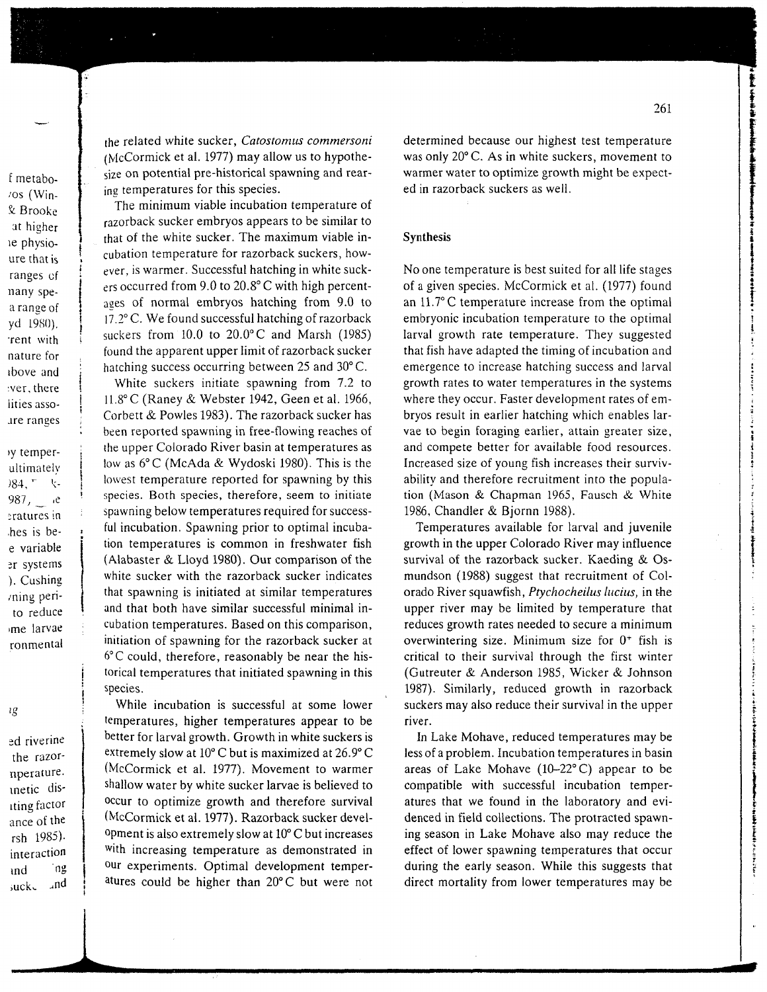f metabo- $\sqrt{cos}$  (Win-& Brooke at higher ie physioure that is ranges of nany spea range of yd 1980). rent with nature for above and ver, there lities assoare ranges

vy temperultimately )84, 「 」、 987,  $e$ eratures in hes is bee variable er systems ). Cushing ming perito reduce me larvae ronmental

ıg

ed riverine the razornperature. inetic disiting factor ance of the rsh 1985). interaction 'ng ınd  $\sqrt{nd}$ suck.

the related white sucker, Catostomus commersoni (McCormick et al. 1977) may allow us to hypothesize on potential pre-historical spawning and rearing temperatures for this species.

The minimum viable incubation temperature of razorback sucker embryos appears to be similar to that of the white sucker. The maximum viable incubation temperature for razorback suckers, however, is warmer. Successful hatching in white suckers occurred from  $9.0$  to  $20.8^{\circ}$  C with high percentages of normal embryos hatching from 9.0 to 17.2° C. We found successful hatching of razorback suckers from  $10.0$  to  $20.0$ °C and Marsh (1985) found the apparent upper limit of razorback sucker hatching success occurring between  $25$  and  $30^{\circ}$ C.

White suckers initiate spawning from 7.2 to 11.8°C (Raney & Webster 1942, Geen et al. 1966, Corbett & Powles 1983). The razorback sucker has been reported spawning in free-flowing reaches of the upper Colorado River basin at temperatures as low as 6°C (McAda & Wydoski 1980). This is the lowest temperature reported for spawning by this species. Both species, therefore, seem to initiate spawning below temperatures required for successful incubation. Spawning prior to optimal incubation temperatures is common in freshwater fish (Alabaster & Lloyd 1980). Our comparison of the white sucker with the razorback sucker indicates that spawning is initiated at similar temperatures and that both have similar successful minimal incubation temperatures. Based on this comparison, initiation of spawning for the razorback sucker at  $6^{\circ}$ C could, therefore, reasonably be near the historical temperatures that initiated spawning in this species.

While incubation is successful at some lower temperatures, higher temperatures appear to be better for larval growth. Growth in white suckers is extremely slow at  $10^{\circ}$ C but is maximized at  $26.9^{\circ}$ C (McCormick et al. 1977). Movement to warmer shallow water by white sucker larvae is believed to occur to optimize growth and therefore survival (McCormick et al. 1977). Razorback sucker development is also extremely slow at  $10^{\circ}$ C but increases with increasing temperature as demonstrated in our experiments. Optimal development temperatures could be higher than 20°C but were not

**The contract of the fact of the contract of the contract of the contract of the contract of the contract of the contract of the contract of the contract of the contract of the contract of the contract of the contract of t** 

**Continued and Continued** 

**Automobile state of accountance** 

 $\frac{1}{4}$ 

あまましょう エント・ディー・ディー・ディー・ディー・ディー

determined because our highest test temperature was only 20°C. As in white suckers, movement to warmer water to optimize growth might be expected in razorback suckers as well.

#### **Synthesis**

No one temperature is best suited for all life stages of a given species. McCormick et al. (1977) found an 11.7°C temperature increase from the optimal embryonic incubation temperature to the optimal larval growth rate temperature. They suggested that fish have adapted the timing of incubation and emergence to increase hatching success and larval growth rates to water temperatures in the systems where they occur. Faster development rates of embryos result in earlier hatching which enables larvae to begin foraging earlier, attain greater size, and compete better for available food resources. Increased size of young fish increases their survivability and therefore recruitment into the population (Mason & Chapman 1965, Fausch & White 1986, Chandler & Bjornn 1988).

Temperatures available for larval and juvenile growth in the upper Colorado River may influence survival of the razorback sucker. Kaeding & Osmundson (1988) suggest that recruitment of Colorado River squawfish, Ptychocheilus lucius, in the upper river may be limited by temperature that reduces growth rates needed to secure a minimum overwintering size. Minimum size for  $0^+$  fish is critical to their survival through the first winter (Gutreuter & Anderson 1985, Wicker & Johnson 1987). Similarly, reduced growth in razorback suckers may also reduce their survival in the upper river.

In Lake Mohave, reduced temperatures may be less of a problem. Incubation temperatures in basin areas of Lake Mohave  $(10-22^{\circ}C)$  appear to be compatible with successful incubation temperatures that we found in the laboratory and evidenced in field collections. The protracted spawning season in Lake Mohave also may reduce the effect of lower spawning temperatures that occur during the early season. While this suggests that direct mortality from lower temperatures may be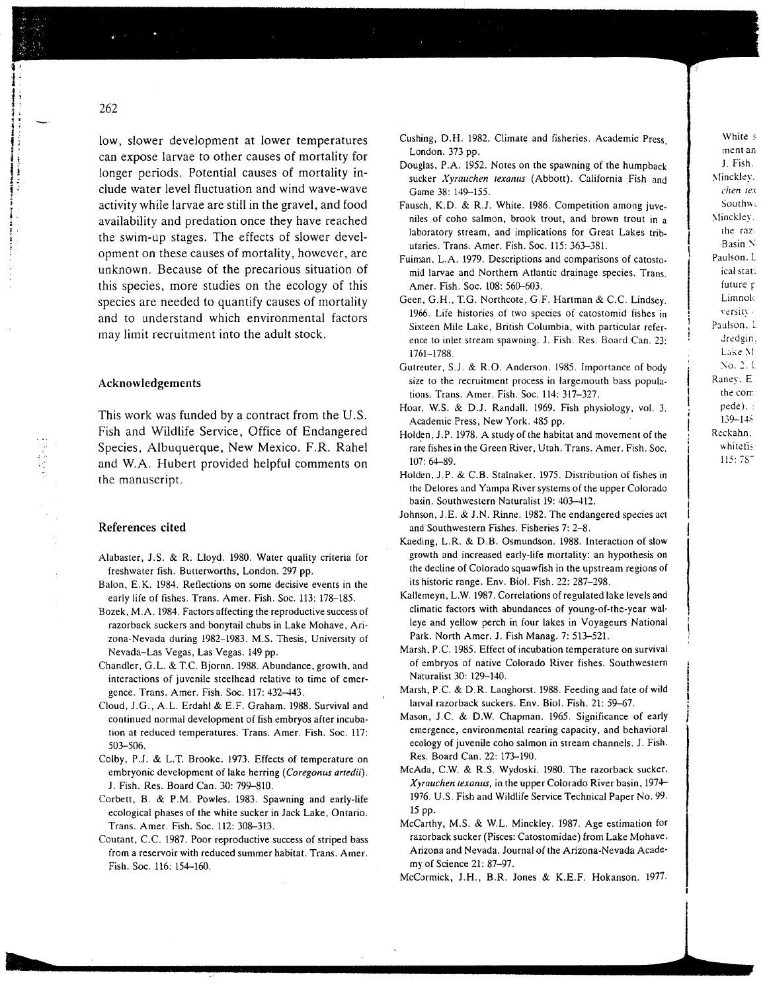low, slower development at lower temperatures ca n expose larvae to other causes of mortalit y for longer periods. Potential causes of mortality include water level fluctuation and wind wave-wave activity while larvae are still in the gravel, and foo d availability an d predatio n once the y have reache d the swim-u p stages. The effects of slower devel opment o n these causes of mortality, however, are unknown. Because of the precarious situation of this species, more studies o n the ecolog y of this species are neede d to quantify causes of mortality and to understan d which environmental factors may limit recruitment into the adult stock.

#### **Acknowledgements**

This wor k was funded by a contract fro m the U.S. Fis h and Wildlife Service, Office of Endangere d Species, Albuquerque, Ne w Mexico. F.R. Rahel and W.A. Hubert provide d helpful comments o n the manuscript.

#### **References cite d**

- Alabaster, J.S. & R. Lloyd. 1980. Water quality criteria for freshwater fish. Butterworths, London. 297 pp.
- Balon, E.K. 1984. Reflections on some decisive events in the early life of fishes. Trans. Amer. Fish. Soc. 113: 178-185.
- Bozek.M.A. 1984. Factors affecting the reproductive success of razorback suckers and bonytail chubs in Lake Mohave, Ari zona-Nevada during 1982-1983. M.S. Thesis, University of Nevada-Las Vegas, Las Vegas. 149 pp.
- Chandler, G.L. & T.C. Bjornn. 1988. Abundance, growth, and interactions of juvenile steelhead relative to time of emer gence. Trans. Amer. Fish. Soc. 117: 432-443.
- Cloud, J.G., A.L. Erdahl & E.F. Graham. 1988. Survival and continued normal development of fish embryos after incuba tion at reduced temperatures. Trans. Amer. Fish. Soc. 117: 503-506.
- Colby, P.J. & L.T. Brooke. 1973. Effects of temperature on embryonic development of lake herring *(Coregonus artedii).* J. Fish. Res. Board Can. 30: 799-810.
- Corbett, B. & P.M. Powles. 1983. Spawning and early-life ecological phases of the white sucker in Jack Lake, Ontario. Trans. Amer. Fish. Soc. 112: 308-313.
- Coutant, C.C. 1987. Poor reproductive success of striped bass fro m a reservoir with reduced summer habitat. Trans. Amer. Fish. Soc. 116: 154-160.
- Gushing, D.H. 1982. Climate and fisheries. Academic Press, London. 373 pp.
- Douglas, P.A. 1952. Notes on the spawning of the humpback sucker *Xyrauchen texanus* (Abbott). California Fish and Game 38: 149-155.
- Fausch, K.D. & R.J. White. 1986. Competition among juve niles of coho salmon, brook trout, and brown trout in a laboratory stream, and implications for Great Lakes trib utaries. Trans. Amer. Fish. Soc. 115: 363-381.
- Fuiman, L.A. 1979. Descriptions and comparisons of catosto mid larvae and Northern Atlantic drainage species. Trans. Amer. Fish. Soc. 108: 560-603.
- Geen, G.H., T.G. Northcote, G.F. Hartman & C.C. Lindsey. 1966. Life histories of two species of catostomid fishes in Sixteen Mile Lake, British Columbia, with particular refer ence to inlet strea m spawning. J. Fish. Res. Board Can. 23: 1761-1788.
- Gutreuter, S.J. & R.O. Anderson. 1985. Importance of body size to the recruitment process in largemouth bass popula tions. Trans. Amer. Fish. Soc. 114: 317-327.
- Hoar, W.S. & DJ. Randall. 1969. Fish physiology, vol. 3. Academic Press, Ne w York. 485 pp.
- Holden, J.P. 1978. A study of the habitat and movement of the rare fishes in the Green River, Utah. Trans. Amer. Fish. Soc. 107: 64-89.
- Holden. J.P. & C.B. Stalnaker. 1975. Distribution of fishes in the Delores and Yampa River systems of the upper Colorado basin. Southwestern Naturalist 19: 403-412.
- Johnson, J.E. & J.N. Rinne. 1982. The endangered species act and Southwestern Fishes. Fisheries 7: 2-8.
- Kaeding, L.R. & D.B. Osmundson. 1988. Interaction of slo w growth and increased early-life mortality: an hypothesis on the decline of Colorado squawfish in the upstrea m regions of its historic range. Env. Biol. Fish. 22: 287-298.
- Kallemeyn, L.W. 1987. Correlations of regulated lake levels and climatic factors with abundances of young-of-the-year wal leye and yello w perch in four lakes in Voyageurs National Park. North Amer. J. Fish Manag. 7: 513-521.
- Marsh, P.C. 1985. Effect of incubation temperature on survival of embryos of native Colorado River fishes. Southwestern Naturalist 30: 129-140.
- Marsh, P.C. & D.R. Langhorst. 1988. Feeding and fate of wild larval razorback suckers. Env. Biol. Fish. 21: 59-67.
- Mason, J.C. & D.W. Chapman. 1965. Significance of early emergence, environmental rearing capacity, and behavioral ecology of juvenile coho salmon in strea m channels. J. Fish. Res. Board Can. 22: 173-190.
- McAda, C.W. & R.S. Wydoski. 1980. The razorback sucker. *Xyrauchen texanus,* in the upper Colorado River basin, 1974- 1976. U.S. Fish and Wildlife Service Technical Paper No. 99. 15 pp.
- McCarthy, M.S. & W.L. Minckley. 1987. Age estimation for razorback sucker (Pisces: Catostomidae) fro m Lake Mohave, Arizona and Nevada. Journal of the Arizona-Nevada Academy of Science 21: 87-97.

McCormick, J.H., B.R. Jones & K.E.F. Hokanson. 1977.